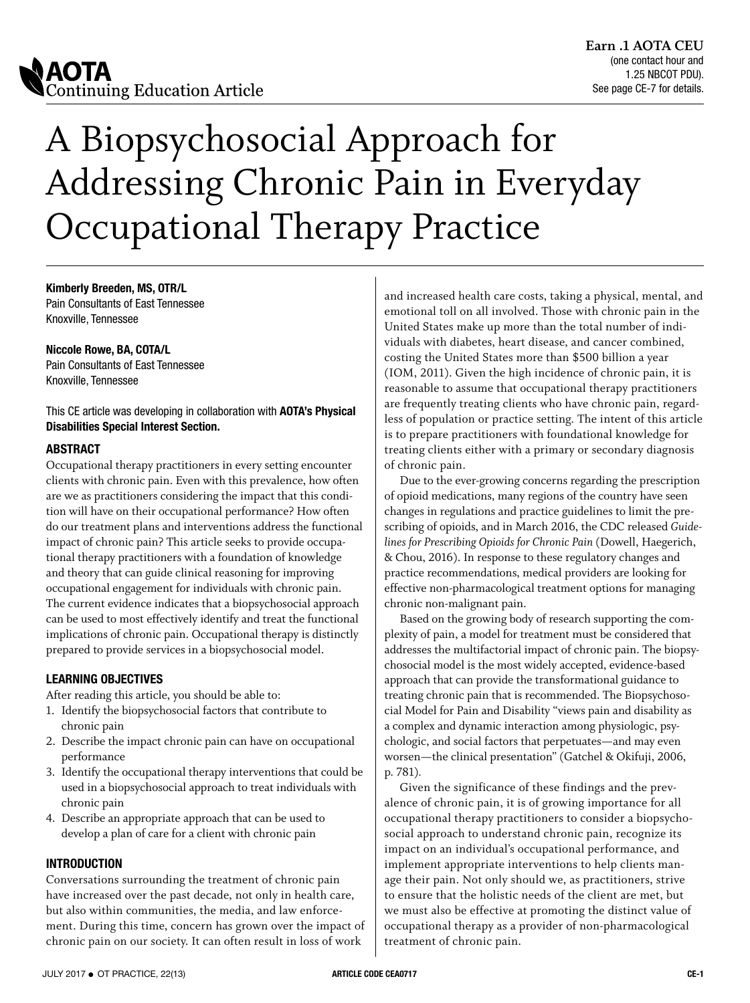

# A Biopsychosocial Approach for Addressing Chronic Pain in Everyday Occupational Therapy Practice

**Kimberly Breeden, MS, OTR/L** Pain Consultants of East Tennessee Knoxville, Tennessee

**Niccole Rowe, BA, COTA/L**

Pain Consultants of East Tennessee Knoxville, Tennessee

This CE article was developing in collaboration with **AOTA's Physical Disabilities Special Interest Section.**

### **ABSTRACT**

Occupational therapy practitioners in every setting encounter clients with chronic pain. Even with this prevalence, how often are we as practitioners considering the impact that this condition will have on their occupational performance? How often do our treatment plans and interventions address the functional impact of chronic pain? This article seeks to provide occupational therapy practitioners with a foundation of knowledge and theory that can guide clinical reasoning for improving occupational engagement for individuals with chronic pain. The current evidence indicates that a biopsychosocial approach can be used to most effectively identify and treat the functional implications of chronic pain. Occupational therapy is distinctly prepared to provide services in a biopsychosocial model.

### **LEARNING OBJECTIVES**

After reading this article, you should be able to:

- 1. Identify the biopsychosocial factors that contribute to chronic pain
- 2. Describe the impact chronic pain can have on occupational performance
- 3. Identify the occupational therapy interventions that could be used in a biopsychosocial approach to treat individuals with chronic pain
- 4. Describe an appropriate approach that can be used to develop a plan of care for a client with chronic pain

### **INTRODUCTION**

Conversations surrounding the treatment of chronic pain have increased over the past decade, not only in health care, but also within communities, the media, and law enforcement. During this time, concern has grown over the impact of chronic pain on our society. It can often result in loss of work

and increased health care costs, taking a physical, mental, and emotional toll on all involved. Those with chronic pain in the United States make up more than the total number of individuals with diabetes, heart disease, and cancer combined, costing the United States more than \$500 billion a year (IOM, 2011). Given the high incidence of chronic pain, it is reasonable to assume that occupational therapy practitioners are frequently treating clients who have chronic pain, regardless of population or practice setting. The intent of this article is to prepare practitioners with foundational knowledge for treating clients either with a primary or secondary diagnosis of chronic pain.

Due to the ever-growing concerns regarding the prescription of opioid medications, many regions of the country have seen changes in regulations and practice guidelines to limit the prescribing of opioids, and in March 2016, the CDC released *Guidelines for Prescribing Opioids for Chronic Pain* (Dowell, Haegerich, & Chou, 2016). In response to these regulatory changes and practice recommendations, medical providers are looking for effective non-pharmacological treatment options for managing chronic non-malignant pain.

Based on the growing body of research supporting the complexity of pain, a model for treatment must be considered that addresses the multifactorial impact of chronic pain. The biopsychosocial model is the most widely accepted, evidence-based approach that can provide the transformational guidance to treating chronic pain that is recommended. The Biopsychosocial Model for Pain and Disability "views pain and disability as a complex and dynamic interaction among physiologic, psychologic, and social factors that perpetuates—and may even worsen—the clinical presentation" (Gatchel & Okifuji, 2006, p. 781)*.*

Given the significance of these findings and the prevalence of chronic pain, it is of growing importance for all occupational therapy practitioners to consider a biopsychosocial approach to understand chronic pain, recognize its impact on an individual's occupational performance, and implement appropriate interventions to help clients manage their pain. Not only should we, as practitioners, strive to ensure that the holistic needs of the client are met, but we must also be effective at promoting the distinct value of occupational therapy as a provider of non-pharmacological treatment of chronic pain.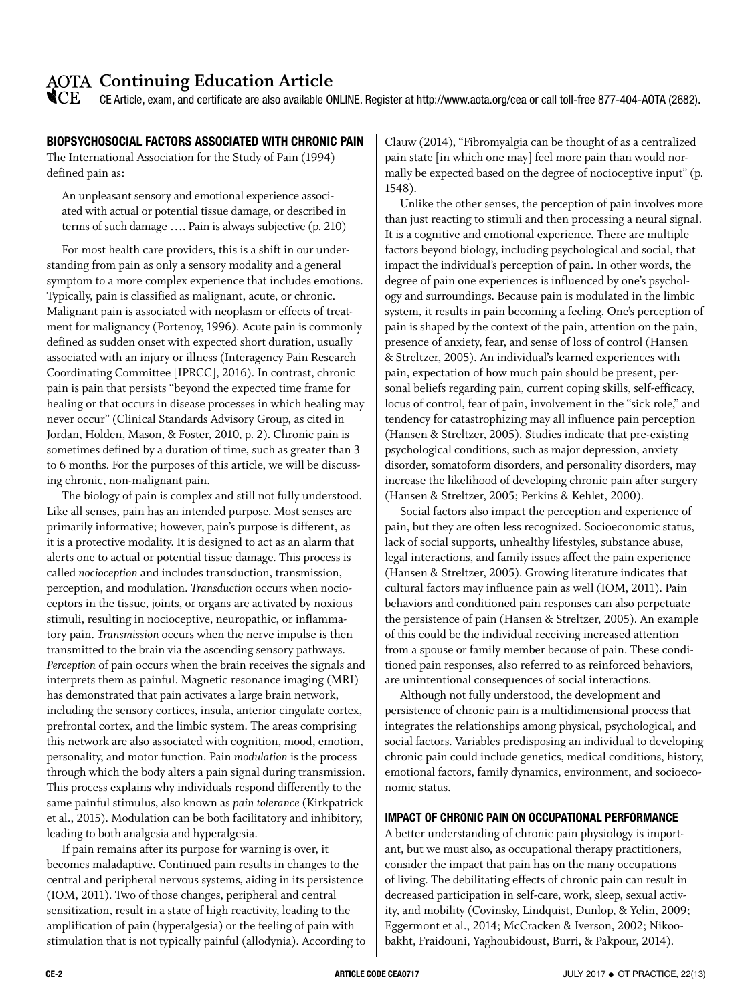### **Continuing Education Article**

 $\mathbb{C}\mathrm{E}^-$  CE Article, exam, and certificate are also available ONLINE. Register at<http://www.aota.org/cea>or call toll-free 877-404-AOTA (2682).

### **BIOPSYCHOSOCIAL FACTORS ASSOCIATED WITH CHRONIC PAIN**

The International Association for the Study of Pain (1994) defined pain as:

An unpleasant sensory and emotional experience associated with actual or potential tissue damage, or described in terms of such damage …. Pain is always subjective (p. 210)

For most health care providers, this is a shift in our understanding from pain as only a sensory modality and a general symptom to a more complex experience that includes emotions. Typically, pain is classified as malignant, acute, or chronic. Malignant pain is associated with neoplasm or effects of treatment for malignancy (Portenoy, 1996). Acute pain is commonly defined as sudden onset with expected short duration, usually associated with an injury or illness (Interagency Pain Research Coordinating Committee [IPRCC], 2016). In contrast, chronic pain is pain that persists "beyond the expected time frame for healing or that occurs in disease processes in which healing may never occur" (Clinical Standards Advisory Group, as cited in Jordan, Holden, Mason, & Foster, 2010, p. 2). Chronic pain is sometimes defined by a duration of time, such as greater than 3 to 6 months. For the purposes of this article, we will be discussing chronic, non-malignant pain.

The biology of pain is complex and still not fully understood. Like all senses, pain has an intended purpose. Most senses are primarily informative; however, pain's purpose is different, as it is a protective modality. It is designed to act as an alarm that alerts one to actual or potential tissue damage. This process is called *nocioception* and includes transduction, transmission, perception, and modulation. *Transduction* occurs when nocioceptors in the tissue, joints, or organs are activated by noxious stimuli, resulting in nocioceptive, neuropathic, or inflammatory pain. *Transmission* occurs when the nerve impulse is then transmitted to the brain via the ascending sensory pathways. *Perception* of pain occurs when the brain receives the signals and interprets them as painful. Magnetic resonance imaging (MRI) has demonstrated that pain activates a large brain network, including the sensory cortices, insula, anterior cingulate cortex, prefrontal cortex, and the limbic system. The areas comprising this network are also associated with cognition, mood, emotion, personality, and motor function. Pain *modulation* is the process through which the body alters a pain signal during transmission. This process explains why individuals respond differently to the same painful stimulus, also known as *pain tolerance* (Kirkpatrick et al., 2015). Modulation can be both facilitatory and inhibitory, leading to both analgesia and hyperalgesia.

If pain remains after its purpose for warning is over, it becomes maladaptive. Continued pain results in changes to the central and peripheral nervous systems, aiding in its persistence (IOM, 2011). Two of those changes, peripheral and central sensitization, result in a state of high reactivity, leading to the amplification of pain (hyperalgesia) or the feeling of pain with stimulation that is not typically painful (allodynia). According to Clauw (2014), "Fibromyalgia can be thought of as a centralized pain state [in which one may] feel more pain than would normally be expected based on the degree of nocioceptive input" (p. 1548).

Unlike the other senses, the perception of pain involves more than just reacting to stimuli and then processing a neural signal. It is a cognitive and emotional experience. There are multiple factors beyond biology, including psychological and social, that impact the individual's perception of pain. In other words, the degree of pain one experiences is influenced by one's psychology and surroundings. Because pain is modulated in the limbic system, it results in pain becoming a feeling. One's perception of pain is shaped by the context of the pain, attention on the pain, presence of anxiety, fear, and sense of loss of control (Hansen & Streltzer, 2005). An individual's learned experiences with pain, expectation of how much pain should be present, personal beliefs regarding pain, current coping skills, self-efficacy, locus of control, fear of pain, involvement in the "sick role," and tendency for catastrophizing may all influence pain perception (Hansen & Streltzer, 2005). Studies indicate that pre-existing psychological conditions, such as major depression, anxiety disorder, somatoform disorders, and personality disorders, may increase the likelihood of developing chronic pain after surgery (Hansen & Streltzer, 2005; Perkins & Kehlet, 2000).

Social factors also impact the perception and experience of pain, but they are often less recognized. Socioeconomic status, lack of social supports, unhealthy lifestyles, substance abuse, legal interactions, and family issues affect the pain experience (Hansen & Streltzer, 2005). Growing literature indicates that cultural factors may influence pain as well (IOM, 2011). Pain behaviors and conditioned pain responses can also perpetuate the persistence of pain (Hansen & Streltzer, 2005). An example of this could be the individual receiving increased attention from a spouse or family member because of pain. These conditioned pain responses, also referred to as reinforced behaviors, are unintentional consequences of social interactions.

Although not fully understood, the development and persistence of chronic pain is a multidimensional process that integrates the relationships among physical, psychological, and social factors. Variables predisposing an individual to developing chronic pain could include genetics, medical conditions, history, emotional factors, family dynamics, environment, and socioeconomic status.

### **IMPACT OF CHRONIC PAIN ON OCCUPATIONAL PERFORMANCE**

A better understanding of chronic pain physiology is important, but we must also, as occupational therapy practitioners, consider the impact that pain has on the many occupations of living. The debilitating effects of chronic pain can result in decreased participation in self-care, work, sleep, sexual activity, and mobility (Covinsky, Lindquist, Dunlop, & Yelin, 2009; Eggermont et al., 2014; McCracken & Iverson, 2002; Nikoobakht, Fraidouni, Yaghoubidoust, Burri, & Pakpour, 2014).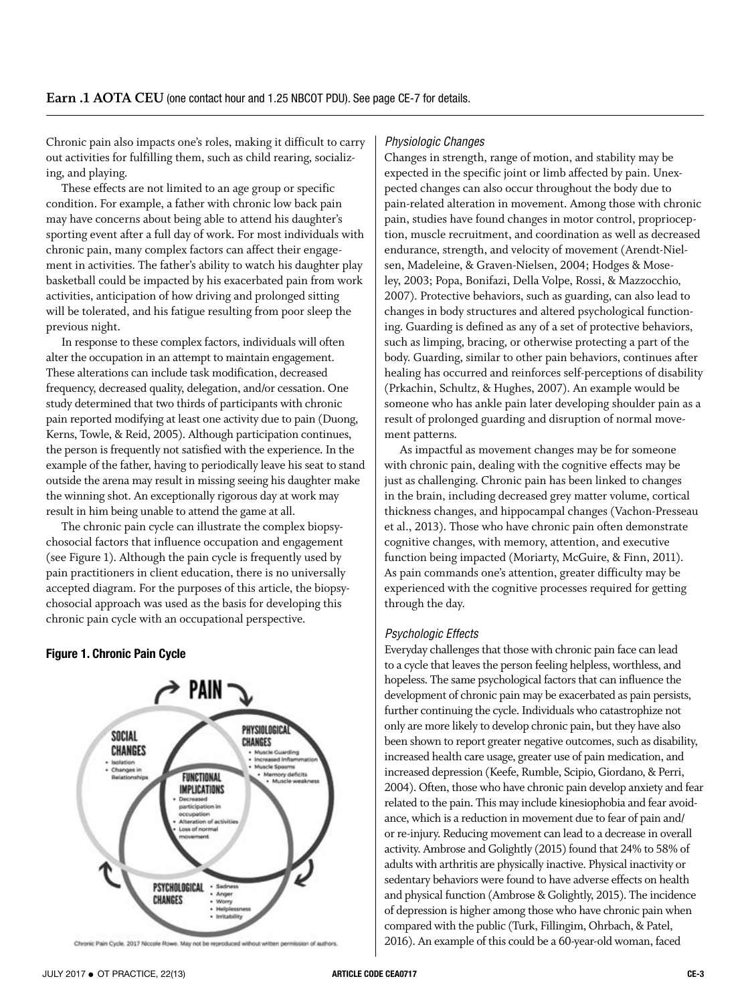Chronic pain also impacts one's roles, making it difficult to carry out activities for fulfilling them, such as child rearing, socializing, and playing.

These effects are not limited to an age group or specific condition. For example, a father with chronic low back pain may have concerns about being able to attend his daughter's sporting event after a full day of work. For most individuals with chronic pain, many complex factors can affect their engagement in activities. The father's ability to watch his daughter play basketball could be impacted by his exacerbated pain from work activities, anticipation of how driving and prolonged sitting will be tolerated, and his fatigue resulting from poor sleep the previous night.

In response to these complex factors, individuals will often alter the occupation in an attempt to maintain engagement. These alterations can include task modification, decreased frequency, decreased quality, delegation, and/or cessation. One study determined that two thirds of participants with chronic pain reported modifying at least one activity due to pain (Duong, Kerns, Towle, & Reid, 2005). Although participation continues, the person is frequently not satisfied with the experience. In the example of the father, having to periodically leave his seat to stand outside the arena may result in missing seeing his daughter make the winning shot. An exceptionally rigorous day at work may result in him being unable to attend the game at all.

The chronic pain cycle can illustrate the complex biopsychosocial factors that influence occupation and engagement (see Figure 1). Although the pain cycle is frequently used by pain practitioners in client education, there is no universally accepted diagram. For the purposes of this article, the biopsychosocial approach was used as the basis for developing this chronic pain cycle with an occupational perspective.

### **Figure 1. Chronic Pain Cycle**



Chronic Pain Cycle. 2017 Niccole Rowe. May not be reproduced without writ

#### *Physiologic Changes*

Changes in strength, range of motion, and stability may be expected in the specific joint or limb affected by pain. Unexpected changes can also occur throughout the body due to pain-related alteration in movement. Among those with chronic pain, studies have found changes in motor control, proprioception, muscle recruitment, and coordination as well as decreased endurance, strength, and velocity of movement (Arendt-Nielsen, Madeleine, & Graven-Nielsen, 2004; Hodges & Moseley, 2003; Popa, Bonifazi, Della Volpe, Rossi, & Mazzocchio, 2007). Protective behaviors, such as guarding, can also lead to changes in body structures and altered psychological functioning. Guarding is defined as any of a set of protective behaviors, such as limping, bracing, or otherwise protecting a part of the body. Guarding, similar to other pain behaviors, continues after healing has occurred and reinforces self-perceptions of disability (Prkachin, Schultz, & Hughes, 2007). An example would be someone who has ankle pain later developing shoulder pain as a result of prolonged guarding and disruption of normal movement patterns.

As impactful as movement changes may be for someone with chronic pain, dealing with the cognitive effects may be just as challenging. Chronic pain has been linked to changes in the brain, including decreased grey matter volume, cortical thickness changes, and hippocampal changes (Vachon-Presseau et al., 2013). Those who have chronic pain often demonstrate cognitive changes, with memory, attention, and executive function being impacted (Moriarty, McGuire, & Finn, 2011). As pain commands one's attention, greater difficulty may be experienced with the cognitive processes required for getting through the day.

#### *Psychologic Effects*

Everyday challenges that those with chronic pain face can lead to a cycle that leaves the person feeling helpless, worthless, and hopeless. The same psychological factors that can influence the development of chronic pain may be exacerbated as pain persists, further continuing the cycle. Individuals who catastrophize not only are more likely to develop chronic pain, but they have also been shown to report greater negative outcomes, such as disability, increased health care usage, greater use of pain medication, and increased depression (Keefe, Rumble, Scipio, Giordano, & Perri, 2004). Often, those who have chronic pain develop anxiety and fear related to the pain. This may include kinesiophobia and fear avoidance, which is a reduction in movement due to fear of pain and/ or re-injury. Reducing movement can lead to a decrease in overall activity. Ambrose and Golightly (2015) found that 24% to 58% of adults with arthritis are physically inactive. Physical inactivity or sedentary behaviors were found to have adverse effects on health and physical function (Ambrose & Golightly, 2015). The incidence of depression is higher among those who have chronic pain when compared with the public (Turk, Fillingim, Ohrbach, & Patel, 2016). An example of this could be a 60-year-old woman, faced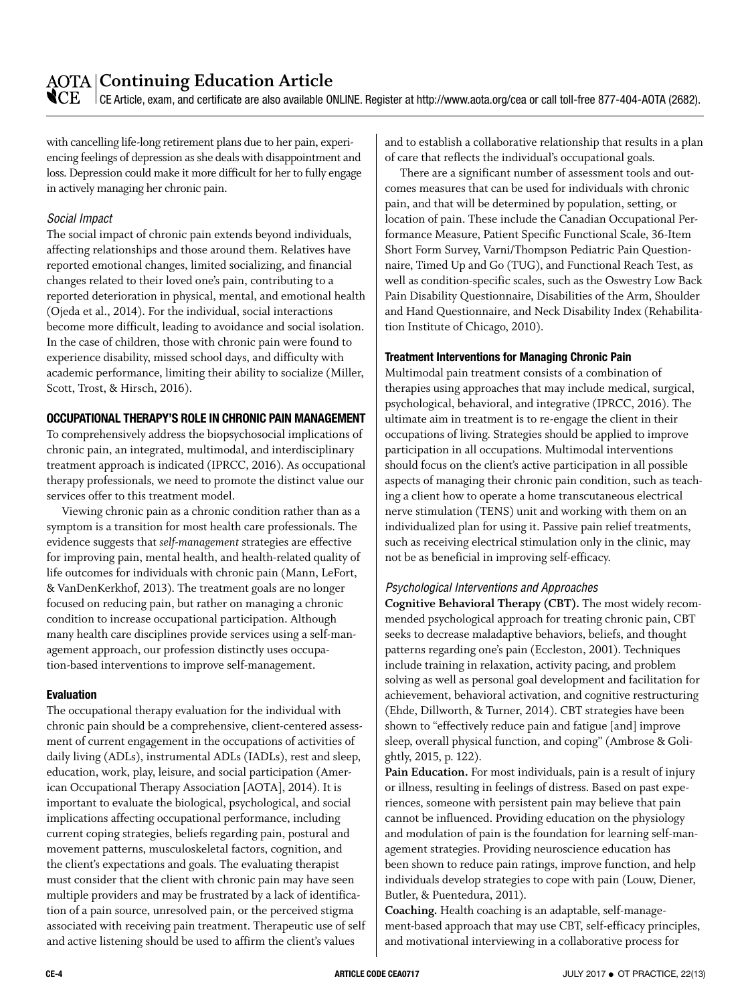### **Continuing Education Article**

 $\mathbb{C}\mathrm{E}^-$  CE Article, exam, and certificate are also available ONLINE. Register at<http://www.aota.org/cea>or call toll-free 877-404-AOTA (2682).

with cancelling life-long retirement plans due to her pain, experiencing feelings of depression as she deals with disappointment and loss. Depression could make it more difficult for her to fully engage in actively managing her chronic pain.

### *Social Impact*

The social impact of chronic pain extends beyond individuals, affecting relationships and those around them. Relatives have reported emotional changes, limited socializing, and financial changes related to their loved one's pain, contributing to a reported deterioration in physical, mental, and emotional health (Ojeda et al., 2014). For the individual, social interactions become more difficult, leading to avoidance and social isolation. In the case of children, those with chronic pain were found to experience disability, missed school days, and difficulty with academic performance, limiting their ability to socialize (Miller, Scott, Trost, & Hirsch, 2016).

### **OCCUPATIONAL THERAPY'S ROLE IN CHRONIC PAIN MANAGEMENT**

To comprehensively address the biopsychosocial implications of chronic pain, an integrated, multimodal, and interdisciplinary treatment approach is indicated (IPRCC, 2016). As occupational therapy professionals, we need to promote the distinct value our services offer to this treatment model.

Viewing chronic pain as a chronic condition rather than as a symptom is a transition for most health care professionals. The evidence suggests that *self-management* strategies are effective for improving pain, mental health, and health-related quality of life outcomes for individuals with chronic pain (Mann, LeFort, & VanDenKerkhof, 2013). The treatment goals are no longer focused on reducing pain, but rather on managing a chronic condition to increase occupational participation. Although many health care disciplines provide services using a self-management approach, our profession distinctly uses occupation-based interventions to improve self-management.

#### **Evaluation**

The occupational therapy evaluation for the individual with chronic pain should be a comprehensive, client-centered assessment of current engagement in the occupations of activities of daily living (ADLs), instrumental ADLs (IADLs), rest and sleep, education, work, play, leisure, and social participation (American Occupational Therapy Association [AOTA], 2014). It is important to evaluate the biological, psychological, and social implications affecting occupational performance, including current coping strategies, beliefs regarding pain, postural and movement patterns, musculoskeletal factors, cognition, and the client's expectations and goals. The evaluating therapist must consider that the client with chronic pain may have seen multiple providers and may be frustrated by a lack of identification of a pain source, unresolved pain, or the perceived stigma associated with receiving pain treatment. Therapeutic use of self and active listening should be used to affirm the client's values

and to establish a collaborative relationship that results in a plan of care that reflects the individual's occupational goals.

There are a significant number of assessment tools and outcomes measures that can be used for individuals with chronic pain, and that will be determined by population, setting, or location of pain. These include the Canadian Occupational Performance Measure, Patient Specific Functional Scale, 36-Item Short Form Survey, Varni/Thompson Pediatric Pain Questionnaire, Timed Up and Go (TUG), and Functional Reach Test, as well as condition-specific scales, such as the Oswestry Low Back Pain Disability Questionnaire, Disabilities of the Arm, Shoulder and Hand Questionnaire, and Neck Disability Index (Rehabilitation Institute of Chicago, 2010).

### **Treatment Interventions for Managing Chronic Pain**

Multimodal pain treatment consists of a combination of therapies using approaches that may include medical, surgical, psychological, behavioral, and integrative (IPRCC, 2016). The ultimate aim in treatment is to re-engage the client in their occupations of living. Strategies should be applied to improve participation in all occupations. Multimodal interventions should focus on the client's active participation in all possible aspects of managing their chronic pain condition, such as teaching a client how to operate a home transcutaneous electrical nerve stimulation (TENS) unit and working with them on an individualized plan for using it. Passive pain relief treatments, such as receiving electrical stimulation only in the clinic, may not be as beneficial in improving self-efficacy.

### *Psychological Interventions and Approaches*

**Cognitive Behavioral Therapy (CBT).** The most widely recommended psychological approach for treating chronic pain, CBT seeks to decrease maladaptive behaviors, beliefs, and thought patterns regarding one's pain (Eccleston, 2001). Techniques include training in relaxation, activity pacing, and problem solving as well as personal goal development and facilitation for achievement, behavioral activation, and cognitive restructuring (Ehde, Dillworth, & Turner, 2014). CBT strategies have been shown to "effectively reduce pain and fatigue [and] improve sleep, overall physical function, and coping" (Ambrose & Golightly, 2015, p. 122).

**Pain Education.** For most individuals, pain is a result of injury or illness, resulting in feelings of distress. Based on past experiences, someone with persistent pain may believe that pain cannot be influenced. Providing education on the physiology and modulation of pain is the foundation for learning self-management strategies. Providing neuroscience education has been shown to reduce pain ratings, improve function, and help individuals develop strategies to cope with pain (Louw, Diener, Butler, & Puentedura, 2011).

**Coaching.** Health coaching is an adaptable, self-management-based approach that may use CBT, self-efficacy principles, and motivational interviewing in a collaborative process for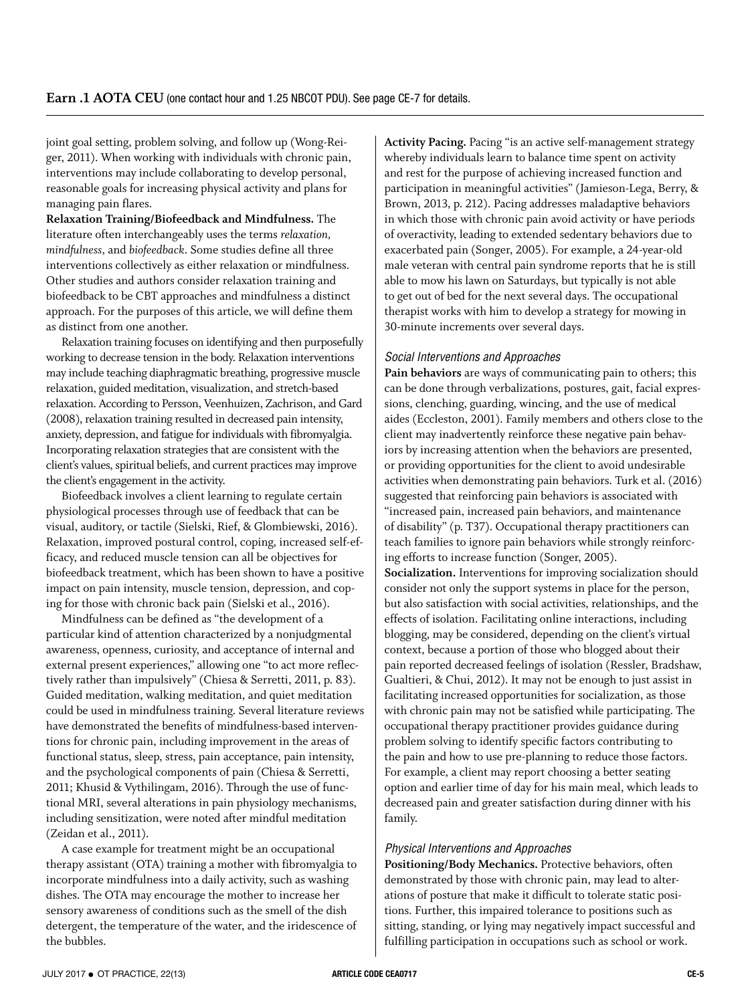joint goal setting, problem solving, and follow up (Wong-Reiger, 2011). When working with individuals with chronic pain, interventions may include collaborating to develop personal, reasonable goals for increasing physical activity and plans for managing pain flares.

**Relaxation Training/Biofeedback and Mindfulness.** The literature often interchangeably uses the terms *relaxation, mindfulness*, and *biofeedback*. Some studies define all three interventions collectively as either relaxation or mindfulness. Other studies and authors consider relaxation training and biofeedback to be CBT approaches and mindfulness a distinct approach. For the purposes of this article, we will define them as distinct from one another.

Relaxation training focuses on identifying and then purposefully working to decrease tension in the body. Relaxation interventions may include teaching diaphragmatic breathing, progressive muscle relaxation, guided meditation, visualization, and stretch-based relaxation. According to Persson, Veenhuizen, Zachrison, and Gard (2008), relaxation training resulted in decreased pain intensity, anxiety, depression, and fatigue for individuals with fibromyalgia. Incorporating relaxation strategies that are consistent with the client's values, spiritual beliefs, and current practices may improve the client's engagement in the activity.

Biofeedback involves a client learning to regulate certain physiological processes through use of feedback that can be visual, auditory, or tactile (Sielski, Rief, & Glombiewski, 2016). Relaxation, improved postural control, coping, increased self-efficacy, and reduced muscle tension can all be objectives for biofeedback treatment, which has been shown to have a positive impact on pain intensity, muscle tension, depression, and coping for those with chronic back pain (Sielski et al., 2016).

Mindfulness can be defined as "the development of a particular kind of attention characterized by a nonjudgmental awareness, openness, curiosity, and acceptance of internal and external present experiences," allowing one "to act more reflectively rather than impulsively" (Chiesa & Serretti, 2011, p. 83). Guided meditation, walking meditation, and quiet meditation could be used in mindfulness training. Several literature reviews have demonstrated the benefits of mindfulness-based interventions for chronic pain, including improvement in the areas of functional status, sleep, stress, pain acceptance, pain intensity, and the psychological components of pain (Chiesa & Serretti, 2011; Khusid & Vythilingam, 2016). Through the use of functional MRI, several alterations in pain physiology mechanisms, including sensitization, were noted after mindful meditation (Zeidan et al., 2011).

A case example for treatment might be an occupational therapy assistant (OTA) training a mother with fibromyalgia to incorporate mindfulness into a daily activity, such as washing dishes. The OTA may encourage the mother to increase her sensory awareness of conditions such as the smell of the dish detergent, the temperature of the water, and the iridescence of the bubbles.

**Activity Pacing.** Pacing "is an active self-management strategy whereby individuals learn to balance time spent on activity and rest for the purpose of achieving increased function and participation in meaningful activities" (Jamieson-Lega, Berry, & Brown, 2013, p. 212). Pacing addresses maladaptive behaviors in which those with chronic pain avoid activity or have periods of overactivity, leading to extended sedentary behaviors due to exacerbated pain (Songer, 2005). For example, a 24-year-old male veteran with central pain syndrome reports that he is still able to mow his lawn on Saturdays, but typically is not able to get out of bed for the next several days. The occupational therapist works with him to develop a strategy for mowing in 30-minute increments over several days.

### *Social Interventions and Approaches*

**Pain behaviors** are ways of communicating pain to others; this can be done through verbalizations, postures, gait, facial expressions, clenching, guarding, wincing, and the use of medical aides (Eccleston, 2001). Family members and others close to the client may inadvertently reinforce these negative pain behaviors by increasing attention when the behaviors are presented, or providing opportunities for the client to avoid undesirable activities when demonstrating pain behaviors. Turk et al. (2016) suggested that reinforcing pain behaviors is associated with "increased pain, increased pain behaviors, and maintenance of disability" (p. T37). Occupational therapy practitioners can teach families to ignore pain behaviors while strongly reinforcing efforts to increase function (Songer, 2005). **Socialization.** Interventions for improving socialization should consider not only the support systems in place for the person, but also satisfaction with social activities, relationships, and the effects of isolation. Facilitating online interactions, including blogging, may be considered, depending on the client's virtual context, because a portion of those who blogged about their pain reported decreased feelings of isolation (Ressler, Bradshaw, Gualtieri, & Chui, 2012). It may not be enough to just assist in facilitating increased opportunities for socialization, as those with chronic pain may not be satisfied while participating. The occupational therapy practitioner provides guidance during problem solving to identify specific factors contributing to the pain and how to use pre-planning to reduce those factors. For example, a client may report choosing a better seating option and earlier time of day for his main meal, which leads to decreased pain and greater satisfaction during dinner with his family.

### *Physical Interventions and Approaches*

**Positioning/Body Mechanics.** Protective behaviors, often demonstrated by those with chronic pain, may lead to alterations of posture that make it difficult to tolerate static positions. Further, this impaired tolerance to positions such as sitting, standing, or lying may negatively impact successful and fulfilling participation in occupations such as school or work.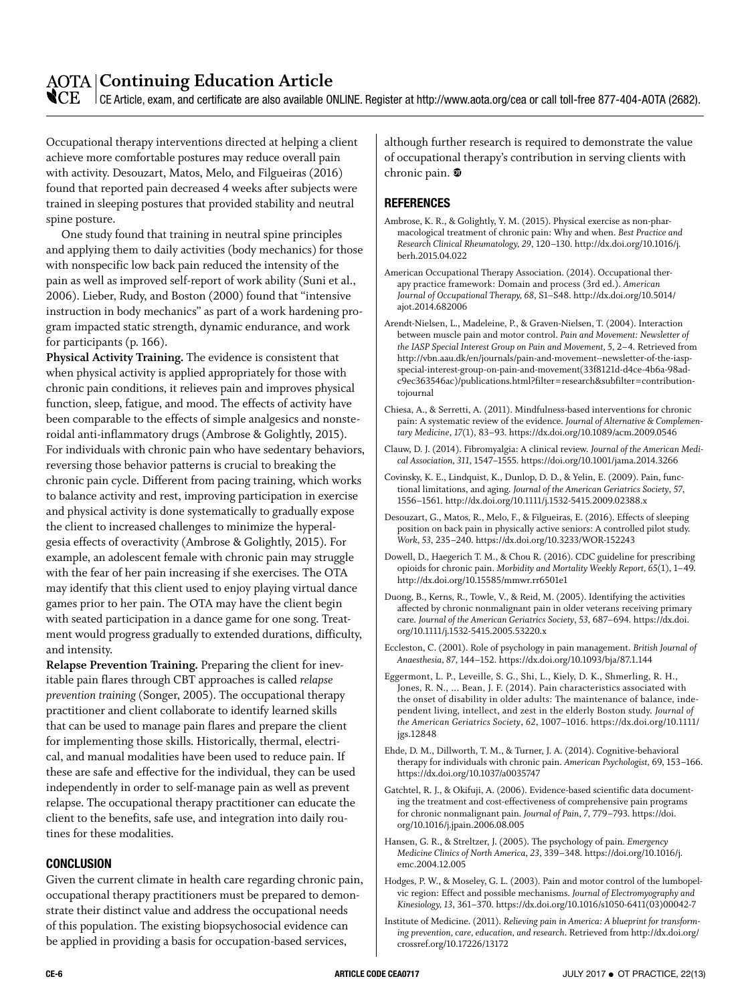### **AOTA Continuing Education Article**

 $\mathbb{C}\mathrm{E}^-$  CE Article, exam, and certificate are also available ONLINE. Register at<http://www.aota.org/cea>or call toll-free 877-404-AOTA (2682).

Occupational therapy interventions directed at helping a client achieve more comfortable postures may reduce overall pain with activity. Desouzart, Matos, Melo, and Filgueiras (2016) found that reported pain decreased 4 weeks after subjects were trained in sleeping postures that provided stability and neutral spine posture.

One study found that training in neutral spine principles and applying them to daily activities (body mechanics) for those with nonspecific low back pain reduced the intensity of the pain as well as improved self-report of work ability (Suni et al., 2006). Lieber, Rudy, and Boston (2000) found that "intensive instruction in body mechanics" as part of a work hardening program impacted static strength, dynamic endurance, and work for participants (p. 166).

**Physical Activity Training.** The evidence is consistent that when physical activity is applied appropriately for those with chronic pain conditions, it relieves pain and improves physical function, sleep, fatigue, and mood. The effects of activity have been comparable to the effects of simple analgesics and nonsteroidal anti-inflammatory drugs (Ambrose & Golightly, 2015). For individuals with chronic pain who have sedentary behaviors, reversing those behavior patterns is crucial to breaking the chronic pain cycle. Different from pacing training, which works to balance activity and rest, improving participation in exercise and physical activity is done systematically to gradually expose the client to increased challenges to minimize the hyperalgesia effects of overactivity (Ambrose & Golightly, 2015). For example, an adolescent female with chronic pain may struggle with the fear of her pain increasing if she exercises. The OTA may identify that this client used to enjoy playing virtual dance games prior to her pain. The OTA may have the client begin with seated participation in a dance game for one song. Treatment would progress gradually to extended durations, difficulty, and intensity.

**Relapse Prevention Training.** Preparing the client for inevitable pain flares through CBT approaches is called *relapse prevention training* (Songer, 2005). The occupational therapy practitioner and client collaborate to identify learned skills that can be used to manage pain flares and prepare the client for implementing those skills. Historically, thermal, electrical, and manual modalities have been used to reduce pain. If these are safe and effective for the individual, they can be used independently in order to self-manage pain as well as prevent relapse. The occupational therapy practitioner can educate the client to the benefits, safe use, and integration into daily routines for these modalities.

#### **CONCLUSION**

Given the current climate in health care regarding chronic pain, occupational therapy practitioners must be prepared to demonstrate their distinct value and address the occupational needs of this population. The existing biopsychosocial evidence can be applied in providing a basis for occupation-based services,

although further research is required to demonstrate the value of occupational therapy's contribution in serving clients with chronic pain.  $\mathbf{\mathbf{\Phi}}$ 

### **REFERENCES**

- Ambrose, K. R., & Golightly, Y. M. (2015). Physical exercise as non-pharmacological treatment of chronic pain: Why and when. *Best Practice and Research Clinical Rheumatology, 29*, 120–130. [http://dx.doi.org/10.1016/j.](http://dx.doi.org/10.1016/j.berh.2015.04.022) [berh.2015.04.022](http://dx.doi.org/10.1016/j.berh.2015.04.022)
- American Occupational Therapy Association. (2014). Occupational therapy practice framework: Domain and process (3rd ed.). *American Journal of Occupational Therapy, 68*, S1–S48. [http://dx.doi.org/10.5014/](http://dx.doi.org/10.5014/ajot.2014.682006) [ajot.2014.682006](http://dx.doi.org/10.5014/ajot.2014.682006)
- Arendt-Nielsen, L., Madeleine, P., & Graven-Nielsen, T. (2004). Interaction between muscle pain and motor control. *Pain and Movement: Newsletter of the IASP Special Interest Group on Pain and Movement, 5*, 2–4. Retrieved from [http://vbn.aau.dk/en/journals/pain-and-movement--newsletter-of-the-iasp](http://vbn.aau.dk/en/journals/pain-and-movement--newsletter-of-the-iasp-special-interest-group-on-pain-and-movement(33f8121d-d4ce-4b6a-98ad-c9ec363546ac)/publications.html?filter=research&subfilter=contributiontojournal)[special-interest-group-on-pain-and-movement\(33f8121d-d4ce-4b6a-98ad](http://vbn.aau.dk/en/journals/pain-and-movement--newsletter-of-the-iasp-special-interest-group-on-pain-and-movement(33f8121d-d4ce-4b6a-98ad-c9ec363546ac)/publications.html?filter=research&subfilter=contributiontojournal)[c9ec363546ac\)/publications.html?filter=research&subfilter=contribution](http://vbn.aau.dk/en/journals/pain-and-movement--newsletter-of-the-iasp-special-interest-group-on-pain-and-movement(33f8121d-d4ce-4b6a-98ad-c9ec363546ac)/publications.html?filter=research&subfilter=contributiontojournal)[tojournal](http://vbn.aau.dk/en/journals/pain-and-movement--newsletter-of-the-iasp-special-interest-group-on-pain-and-movement(33f8121d-d4ce-4b6a-98ad-c9ec363546ac)/publications.html?filter=research&subfilter=contributiontojournal)
- Chiesa, A., & Serretti, A. (2011). Mindfulness-based interventions for chronic pain: A systematic review of the evidence. *Journal of Alternative & Complementary Medicine*, *17*(1), 83–93.<https://dx.doi.org/10.1089/acm.2009.0546>
- Clauw, D. J. (2014). Fibromyalgia: A clinical review. *Journal of the American Medical Association, 311*, 1547–1555. <https://doi.org/10.1001/jama.2014.3266>
- Covinsky, K. E., Lindquist, K., Dunlop, D. D., & Yelin, E. (2009). Pain, functional limitations, and aging. *Journal of the American Geriatrics Society*, *57*, 1556–1561.<http://dx.doi.org/10.1111/j.1532-5415.2009.02388.x>
- Desouzart, G., Matos, R., Melo, F., & Filgueiras, E. (2016). Effects of sleeping position on back pain in physically active seniors: A controlled pilot study. *Work, 53*, 235–240.<https://dx.doi.org/10.3233/WOR-152243>
- Dowell, D., Haegerich T. M., & Chou R. (2016). CDC guideline for prescribing opioids for chronic pain. *Morbidity and Mortality Weekly Report, 65*(1), 1–49. <http://dx.doi.org/10.15585/mmwr.rr6501e1>
- Duong, B., Kerns, R., Towle, V., & Reid, M. (2005). Identifying the activities affected by chronic nonmalignant pain in older veterans receiving primary care. *Journal of the American Geriatrics Society*, *53*, 687–694. [https://dx.doi.](https://dx.doi.org/10.1111/j.1532-5415.2005.53220.x) [org/10.1111/j.1532-5415.2005.53220.x](https://dx.doi.org/10.1111/j.1532-5415.2005.53220.x)
- Eccleston, C. (2001). Role of psychology in pain management. *British Journal of Anaesthesia, 87*, 144–152.<https://dx.doi.org/10.1093/bja/87.1.144>
- Eggermont, L. P., Leveille, S. G., Shi, L., Kiely, D. K., Shmerling, R. H., Jones, R. N., ... Bean, J. F. (2014). Pain characteristics associated with the onset of disability in older adults: The maintenance of balance, independent living, intellect, and zest in the elderly Boston study. *Journal of the American Geriatrics Society*, *62*, 1007–1016. [https://dx.doi.org/10.1111/](https://dx.doi.org/10.1111/jgs.12848) [jgs.12848](https://dx.doi.org/10.1111/jgs.12848)
- Ehde, D. M., Dillworth, T. M., & Turner, J. A. (2014). Cognitive-behavioral therapy for individuals with chronic pain. *American Psychologist,* 69, 153–166. <https://dx.doi.org/10.1037/a0035747>
- Gatchtel, R. J., & Okifuji, A. (2006). Evidence-based scientific data documenting the treatment and cost-effectiveness of comprehensive pain programs for chronic nonmalignant pain*. Journal of Pain, 7*, 779–793. [https://doi.](https://doi.org/10.1016/j.jpain.2006.08.005) [org/10.1016/j.jpain.2006.08.005](https://doi.org/10.1016/j.jpain.2006.08.005)
- Hansen, G. R., & Streltzer, J. (2005). The psychology of pain*. Emergency Medicine Clinics of North America*, *23*, 339–348. [https://doi.org/10.1016/j.](https://doi.org/10.1016/j.emc.2004.12.005) [emc.2004.12.005](https://doi.org/10.1016/j.emc.2004.12.005)
- Hodges, P. W., & Moseley, G. L. (2003). Pain and motor control of the lumbopelvic region: Effect and possible mechanisms. *Journal of Electromyography and Kinesiology, 13*, 361–370. [https://dx.doi.org/10.1016/s1050-6411\(03\)00042-7](https://dx.doi.org/10.1016/s1050-6411(03)00042-7)
- Institute of Medicine. (2011). *Relieving pain in America: A blueprint for transforming prevention, care, education, and research*. Retrieved from [http://dx.doi.org/](http://dx.doi.org/crossref.org/10.17226/13172) [crossref.org/10.17226/13172](http://dx.doi.org/crossref.org/10.17226/13172)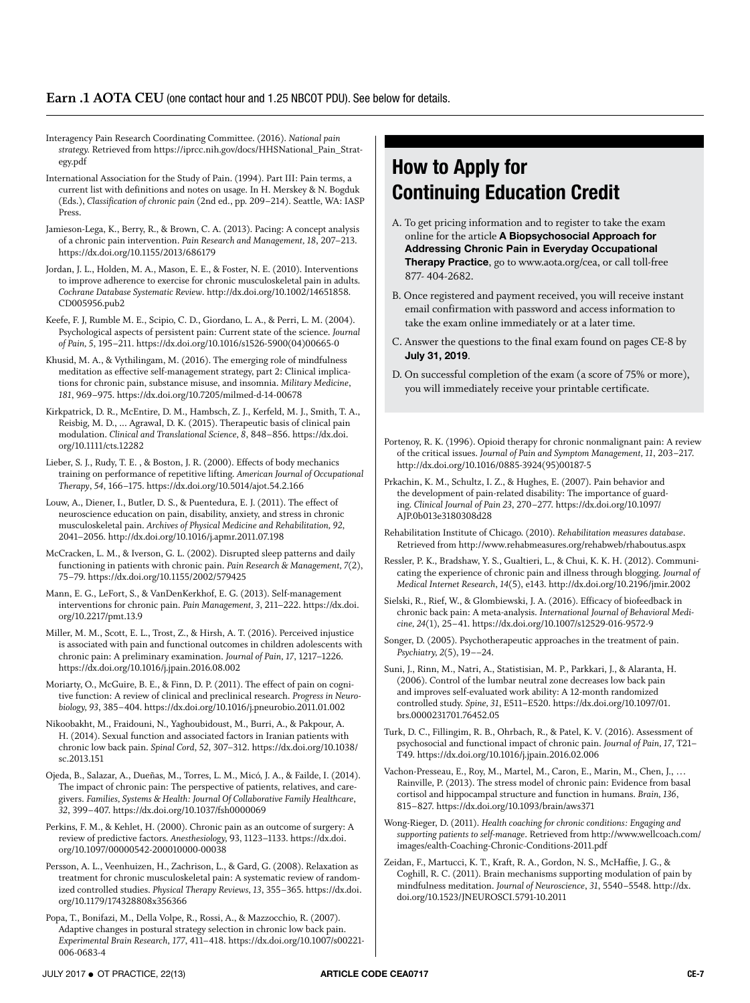### **Earn .1 AOTA CEU** (one contact hour and 1.25 NBCOT PDU). See below for details.

Interagency Pain Research Coordinating Committee. (2016). *National pain strategy.* Retrieved from [https://iprcc.nih.gov/docs/HHSNational\\_Pain\\_Strat](https://iprcc.nih.gov/docs/HHSNational_Pain_Strategy.pdf)[egy.pdf](https://iprcc.nih.gov/docs/HHSNational_Pain_Strategy.pdf)

International Association for the Study of Pain. (1994). Part III: Pain terms, a current list with definitions and notes on usage. In H. Merskey & N. Bogduk (Eds.), *Classification of chronic pain* (2nd ed., pp. 209–214). Seattle, WA: IASP Press.

Jamieson-Lega, K., Berry, R., & Brown, C. A. (2013). Pacing: A concept analysis of a chronic pain intervention. *Pain Research and Management, 18*, 207–213. <https://dx.doi.org/10.1155/2013/686179>

Jordan, J. L., Holden, M. A., Mason, E. E., & Foster, N. E. (2010). Interventions to improve adherence to exercise for chronic musculoskeletal pain in adults. *Cochrane Database Systematic Review*. [http://dx.doi.org/10.1002/14651858.](http://dx.doi.org/10.1002/14651858.CD005956.pub2) [CD005956.pub2](http://dx.doi.org/10.1002/14651858.CD005956.pub2)

Keefe, F. J, Rumble M. E., Scipio, C. D., Giordano, L. A., & Perri, L. M. (2004). Psychological aspects of persistent pain: Current state of the science. *Journal of Pain, 5*, 195–211. [https://dx.doi.org/10.1016/s1526-5900\(04\)00665-0](https://dx.doi.org/10.1016/s1526-5900(04)00665-0)

Khusid, M. A., & Vythilingam, M. (2016). The emerging role of mindfulness meditation as effective self-management strategy, part 2: Clinical implications for chronic pain, substance misuse, and insomnia. *Military Medicine*, *181*, 969–975.<https://dx.doi.org/10.7205/milmed-d-14-00678>

Kirkpatrick, D. R., McEntire, D. M., Hambsch, Z. J., Kerfeld, M. J., Smith, T. A., Reisbig, M. D., ... Agrawal, D. K. (2015). Therapeutic basis of clinical pain modulation. *Clinical and Translational Science, 8*, 848–856. [https://dx.doi.](https://dx.doi.org/10.1111/cts.12282) [org/10.1111/cts.12282](https://dx.doi.org/10.1111/cts.12282)

Lieber, S. J., Rudy, T. E. , & Boston, J. R. (2000). Effects of body mechanics training on performance of repetitive lifting. *American Journal of Occupational Therapy*, *54*, 166–175.<https://dx.doi.org/10.5014/ajot.54.2.166>

Louw, A., Diener, I., Butler, D. S., & Puentedura, E. J. (2011). The effect of neuroscience education on pain, disability, anxiety, and stress in chronic musculoskeletal pain. *Archives of Physical Medicine and Rehabilitation, 92*, 2041–2056.<http://dx.doi.org/10.1016/j.apmr.2011.07.198>

McCracken, L. M., & Iverson, G. L. (2002). Disrupted sleep patterns and daily functioning in patients with chronic pain. *Pain Research & Management, 7*(2), 75–79. <https://dx.doi.org/10.1155/2002/579425>

Mann, E. G., LeFort, S., & VanDenKerkhof, E. G. (2013). Self-management interventions for chronic pain. *Pain Management, 3*, 211–222. [https://dx.doi.](https://dx.doi.org/10.2217/pmt.13.9) [org/10.2217/pmt.13.9](https://dx.doi.org/10.2217/pmt.13.9)

Miller, M. M., Scott, E. L., Trost, Z., & Hirsh, A. T. (2016). Perceived injustice is associated with pain and functional outcomes in children adolescents with chronic pain: A preliminary examination. *Journal of Pain, 17*, 1217–1226. <https://dx.doi.org/10.1016/j.jpain.2016.08.002>

Moriarty, O., McGuire, B. E., & Finn, D. P. (2011). The effect of pain on cognitive function: A review of clinical and preclinical research. *Progress in Neurobiology, 93*, 385–404. <https://dx.doi.org/10.1016/j.pneurobio.2011.01.002>

Nikoobakht, M., Fraidouni, N., Yaghoubidoust, M., Burri, A., & Pakpour, A. H. (2014). Sexual function and associated factors in Iranian patients with chronic low back pain. *Spinal Cord*, *52*, 307–312. [https://dx.doi.org/10.1038/](https://dx.doi.org/10.1038/sc.2013.151) [sc.2013.151](https://dx.doi.org/10.1038/sc.2013.151)

Ojeda, B., Salazar, A., Dueñas, M., Torres, L. M., Micó, J. A., & Failde, I. (2014). The impact of chronic pain: The perspective of patients, relatives, and caregivers. *Families, Systems & Health: Journal Of Collaborative Family Healthcare*, *32*, 399–407.<https://dx.doi.org/10.1037/fsh0000069>

Perkins, F. M., & Kehlet, H. (2000). Chronic pain as an outcome of surgery: A review of predictive factors. *Anesthesiology,* 93, 1123–1133. [https://dx.doi.](https://dx.doi.org/10.1097/00000542-200010000-00038) [org/10.1097/00000542-200010000-00038](https://dx.doi.org/10.1097/00000542-200010000-00038)

Persson, A. L., Veenhuizen, H., Zachrison, L., & Gard, G. (2008). Relaxation as treatment for chronic musculoskeletal pain: A systematic review of randomized controlled studies. *Physical Therapy Reviews, 13*, 355–365. [https://dx.doi.](https://dx.doi.org/10.1179/174328808x356366) [org/10.1179/174328808x356366](https://dx.doi.org/10.1179/174328808x356366)

Popa, T., Bonifazi, M., Della Volpe, R., Rossi, A., & Mazzocchio, R. (2007). Adaptive changes in postural strategy selection in chronic low back pain. *Experimental Brain Research*, *177*, 411–418. [https://dx.doi.org/10.1007/s00221-](https://dx.doi.org/10.1007/s00221-006-0683-4) [006-0683-4](https://dx.doi.org/10.1007/s00221-006-0683-4)

### **How to Apply for Continuing Education Credit**

- A. To get pricing information and to register to take the exam online for the article **A Biopsychosocial Approach for Addressing Chronic Pain in Everyday Occupational Therapy Practice**, go to www.aota.org/cea, or call toll-free 877- 404-2682.
- B. Once registered and payment received, you will receive instant email confirmation with password and access information to take the exam online immediately or at a later time.
- C. Answer the questions to the final exam found on pages CE-8 by **July 31, 2019**.
- D. On successful completion of the exam (a score of 75% or more), you will immediately receive your printable certificate.
- Portenoy, R. K. (1996). Opioid therapy for chronic nonmalignant pain: A review of the critical issues. *Journal of Pain and Symptom Management, 11*, 203–217. [http://dx.doi.org/10.1016/0885-3924\(95\)00187-5](http://dx.doi.org/10.1016/0885-3924%2895%2900187-5)

Prkachin, K. M., Schultz, I. Z., & Hughes, E. (2007). Pain behavior and the development of pain-related disability: The importance of guarding. *Clinical Journal of Pain 23*, 270–277. [https://dx.doi.org/10.1097/](https://dx.doi.org/10.1097/AJP.0b013e3180308d28) [AJP.0b013e3180308d28](https://dx.doi.org/10.1097/AJP.0b013e3180308d28)

- Rehabilitation Institute of Chicago. (2010). *Rehabilitation measures database*. Retrieved from <http://www.rehabmeasures.org/rehabweb/rhaboutus.aspx>
- Ressler, P. K., Bradshaw, Y. S., Gualtieri, L., & Chui, K. K. H. (2012). Communicating the experience of chronic pain and illness through blogging. *Journal of Medical Internet Research*, *14*(5), e143.<http://dx.doi.org/10.2196/jmir.2002>
- Sielski, R., Rief, W., & Glombiewski, J. A. (2016). Efficacy of biofeedback in chronic back pain: A meta-analysis. *International Journal of Behavioral Medicine, 24*(1), 25–41.<https://dx.doi.org/10.1007/s12529-016-9572-9>

Songer, D. (2005). Psychotherapeutic approaches in the treatment of pain. *Psychiatry, 2*(5), 19––24.

Suni, J., Rinn, M., Natri, A., Statistisian, M. P., Parkkari, J., & Alaranta, H. (2006). Control of the lumbar neutral zone decreases low back pain and improves self-evaluated work ability: A 12-month randomized controlled study. *Spine, 31*, E511–E520. [https://dx.doi.org/10.1097/01.](https://dx.doi.org/10.1097/01.brs.0000231701.76452.05) [brs.0000231701.76452.05](https://dx.doi.org/10.1097/01.brs.0000231701.76452.05)

Turk, D. C., Fillingim, R. B., Ohrbach, R., & Patel, K. V. (2016). Assessment of psychosocial and functional impact of chronic pain. *Journal of Pain, 17*, T21– T49. <https://dx.doi.org/10.1016/j.jpain.2016.02.006>

Vachon-Presseau, E., Roy, M., Martel, M., Caron, E., Marin, M., Chen, J., … Rainville, P. (2013). The stress model of chronic pain: Evidence from basal cortisol and hippocampal structure and function in humans. *Brain, 136*, 815–827. <https://dx.doi.org/10.1093/brain/aws371>

Wong-Rieger, D. (2011). *Health coaching for chronic conditions: Engaging and supporting patients to self-manage*. Retrieved from [http://www.wellcoach.com/](http://www.wellcoach.com/images/ealth-Coaching-Chronic-Conditions-2011.pdf) [images/ealth-Coaching-Chronic-Conditions-2011.pdf](http://www.wellcoach.com/images/ealth-Coaching-Chronic-Conditions-2011.pdf)

Zeidan, F., Martucci, K. T., Kraft, R. A., Gordon, N. S., McHaffie, J. G., & Coghill, R. C. (2011). Brain mechanisms supporting modulation of pain by mindfulness meditation. *Journal of Neuroscience*, *31*, 5540–5548. [http://dx.](http://dx.doi.org/10.1523/JNEUROSCI.5791-10.2011) [doi.org/10.1523/JNEUROSCI.5791-10.2011](http://dx.doi.org/10.1523/JNEUROSCI.5791-10.2011)